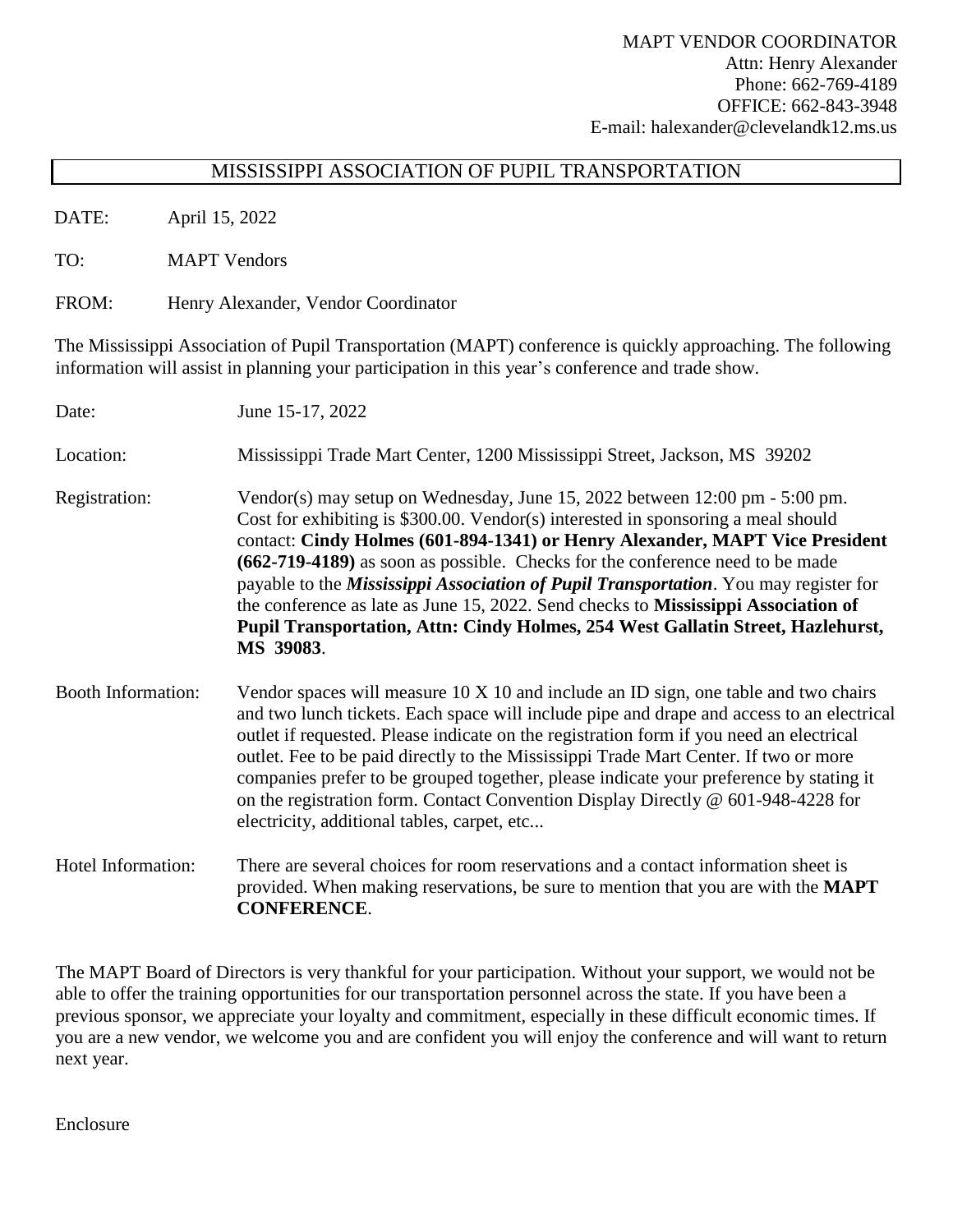## MISSISSIPPI ASSOCIATION OF PUPIL TRANSPORTATION

DATE: April 15, 2022

TO: MAPT Vendors

FROM: Henry Alexander, Vendor Coordinator

The Mississippi Association of Pupil Transportation (MAPT) conference is quickly approaching. The following information will assist in planning your participation in this year's conference and trade show.

| Date:                     | June 15-17, 2022                                                                                                                                                                                                                                                                                                                                                                                                                                                                                                                                                                                                        |  |
|---------------------------|-------------------------------------------------------------------------------------------------------------------------------------------------------------------------------------------------------------------------------------------------------------------------------------------------------------------------------------------------------------------------------------------------------------------------------------------------------------------------------------------------------------------------------------------------------------------------------------------------------------------------|--|
| Location:                 | Mississippi Trade Mart Center, 1200 Mississippi Street, Jackson, MS 39202                                                                                                                                                                                                                                                                                                                                                                                                                                                                                                                                               |  |
| Registration:             | Vendor(s) may setup on Wednesday, June 15, 2022 between 12:00 pm - 5:00 pm.<br>Cost for exhibiting is \$300.00. Vendor(s) interested in sponsoring a meal should<br>contact: Cindy Holmes (601-894-1341) or Henry Alexander, MAPT Vice President<br>(662-719-4189) as soon as possible. Checks for the conference need to be made<br>payable to the <i>Mississippi Association of Pupil Transportation</i> . You may register for<br>the conference as late as June 15, 2022. Send checks to Mississippi Association of<br>Pupil Transportation, Attn: Cindy Holmes, 254 West Gallatin Street, Hazlehurst,<br>MS 39083. |  |
| <b>Booth Information:</b> | Vendor spaces will measure 10 X 10 and include an ID sign, one table and two chairs<br>and two lunch tickets. Each space will include pipe and drape and access to an electrical<br>outlet if requested. Please indicate on the registration form if you need an electrical<br>outlet. Fee to be paid directly to the Mississippi Trade Mart Center. If two or more<br>companies prefer to be grouped together, please indicate your preference by stating it<br>on the registration form. Contact Convention Display Directly $\omega$ 601-948-4228 for<br>electricity, additional tables, carpet, etc                 |  |
| Hotel Information:        | There are several choices for room reservations and a contact information sheet is<br>provided. When making reservations, be sure to mention that you are with the <b>MAPT</b><br><b>CONFERENCE.</b>                                                                                                                                                                                                                                                                                                                                                                                                                    |  |

The MAPT Board of Directors is very thankful for your participation. Without your support, we would not be able to offer the training opportunities for our transportation personnel across the state. If you have been a previous sponsor, we appreciate your loyalty and commitment, especially in these difficult economic times. If you are a new vendor, we welcome you and are confident you will enjoy the conference and will want to return next year.

Enclosure